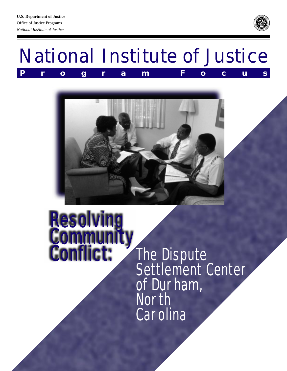





# Resolving **Gommu** nflict:

The Dispute Settlement Center of Durham, North **Carolina**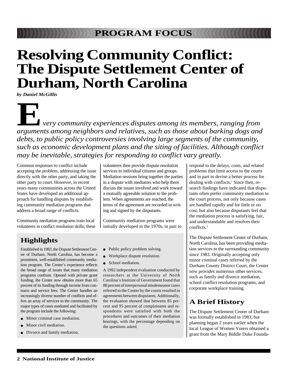# **Resolving Community Conflict: The Dispute Settlement Center of Durham, North Carolina**

*by Daniel McGillis*

 *very community experiences disputes among its members, ranging from* **A**<br>**EXECUTE A**<br>**EXECUTE:**<br> *arguments among neighbors and relatives, such as those about barking dogs and debts, to public policy controversies involving large segments of the community, such as economic development plans and the siting of facilities. Although conflict may be inevitable, strategies for responding to conflict vary greatly.*

Common responses to conflict include accepting the problem, addressing the issue directly with the other party, and taking the other party to court. However, in recent years many communities across the United States have developed an additional approach for handling disputes by establishing community mediation programs that address a broad range of conflicts.

Community mediation programs train local volunteers in conflict resolution skills; these volunteers then provide dispute resolution services to individual citizens and groups. Mediation sessions bring together the parties in a dispute with mediators who help them discuss the issues involved and work toward a mutually agreeable solution to the problem. When agreements are reached, the terms of the agreement are recorded in writing and signed by the disputants.

Community mediation programs were initially developed in the 1970s, in part to

### **Highlights**

Established in 1983, the Dispute Settlement Center of Durham, North Carolina, has become a prominent, well-established community mediation program. The Center's experience reflects the broad range of issues that many mediation programs confront. Opened with private grant funding, the Center now obtains more than 65 percent of its funding through income from contracts and service fees. The Center handles an increasingly diverse number of conflicts and offers an array of services to the community. The major types of cases mediated and facilitated by the program include the following:

- Minor criminal case mediation.
- Minor civil mediation.
- Divorce and family mediation.
- Public policy problem solving.
- Workplace dispute resolution.
- School mediation.

A 1992 independent evaluation conducted by researchers at the University of North Carolina's Institute of Government found that 88 percent of interpersonal misdemeanor cases referred to the Center by the courts resulted in agreements between disputants. Additionally, the evaluation showed that between 85 percent and 95 percent of complainants and respondents were satisfied with both the procedures and outcomes of their mediation hearings, with the percentage depending on the questions asked.

respond to the delays, costs, and related problems that limit access to the courts and in part to devise a better process for dealing with conflicts.<sup>1</sup> Since then, research findings have indicated that disputants often prefer community mediation to the court process, not only because cases are handled rapidly and for little or no cost, but also because disputants feel that the mediation process is satisfying, fair, and understandable and resolves their conflicts.2

The Dispute Settlement Center of Durham, North Carolina, has been providing mediation services to the surrounding community since 1983. Originally accepting only minor criminal cases referred by the Durham County District Court, the Center now provides numerous other services, such as family and divorce mediation, school conflict resolution programs, and corporate workplace training.

### **A Brief History**

The Dispute Settlement Center of Durham was formally established in 1983, but planning began 2 years earlier when the local League of Women Voters obtained a grant from the Mary Biddle Duke Founda-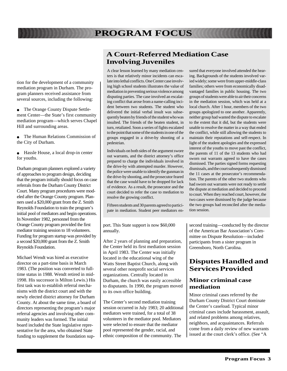tion for the development of a community mediation program in Durham. The program planners received assistance from several sources, including the following:

- The Orange County Dispute Settlement Center—the State's first community mediation program—which serves Chapel Hill and surrounding areas.
- The Human Relations Commission of the City of Durham.
- Hassle House, a local drop-in center for youths.

Durham program planners explored a variety of approaches to program design, deciding that the program initially should focus on case referrals from the Durham County District Court. Many program procedures were modeled after the Orange County program. Planners used a \$20,000 grant from the Z. Smith Reynolds Foundation to train the program's initial pool of mediators and begin operations. In November 1982, personnel from the Orange County program provided the first mediator training session to 18 volunteers. Funding for program startup was provided by a second \$20,000 grant from the Z. Smith Reynolds Foundation.

Michael Wendt was hired as executive director on a part-time basis in March 1983. (The position was converted to fulltime status in 1988. Wendt retired in mid-1998. His successor is Milton Lewis.) His first task was to establish referral mechanisms with the district court and with the newly elected district attorney for Durham County. At about the same time, a board of directors representing the program's major referral agencies and involving other community leaders was formed. The initial board included the State legislative representative for the area, who obtained State funding to supplement the foundation sup-

### **A Court-Referred Mediation Case Involving Juveniles**

A clear lesson learned by many mediation centers is that relatively minor incidents can escalate into lethal conflicts. One Center case involving high school students illustrates the value of mediation in preventing serious violence among disputing parties. The case involved an escalating conflict that arose from a name-calling incident between two students. The student who delivered the initial verbal insult was subsequently beaten by friends of the student who was insulted. The friends of the beaten student, in turn, retaliated. Soon a series of fights escalated to the point that some of the students in one of the groups engaged in a drive-by shooting of a pedestrian.

Individuals on both sides of the argument swore out warrants, and the district attorney's office prepared to charge the individuals involved in the drive-by with attempted murder. However, the police were unable to identify the gunman in the drive-by shooting, and the prosecutor feared that the case would have to be dropped for lack of evidence. As a result, the prosecutor and the court decided to refer the case to mediation to resolve the growing conflict.

Fifteen students and 30 parents agreed to participate in mediation. Student peer mediators en-

port. This State support is now \$60,000 annually.

After 2 years of planning and preparation, the Center held its first mediation session in April 1983. The Center was initially located in the educational wing of the Watts Street Baptist Church, along with several other nonprofit social services organizations. Centrally located in Durham, the church was easily accessible to disputants. In 1990, the program moved to its own office building.

The Center's second mediation training session occurred in July 1983; 20 additional mediators were trained, for a total of 38 volunteers in the mediator pool. Mediators were selected to ensure that the mediator pool represented the gender, racial, and ethnic composition of the community. The

sured that everyone involved attended the hearing. Backgrounds of the students involved varied widely; some were from upper-middle-class families; others were from economically disadvantaged families in public housing. The two groups of students were able to air their concerns in the mediation session, which was held at a local church. After 1 hour, members of the two groups apologized to one another. Apparently, neither group had wanted the dispute to escalate to the extent that it did, but the students were unable to resolve the matter in a way that ended the conflict, while still allowing the students to maintain their reputations and self-respect. In light of the student apologies and the expressed interest of the youths to move past the conflict, the parents of 11 of the 13 students who had sworn out warrants agreed to have the cases dismissed. The parties signed forms requesting dismissals, and the court subsequently dismissed the 11 cases at the prosecutor's recommendation. The parents of the other two students who had sworn out warrants were not ready to settle the dispute at mediation and decided to proceed to court. When they reached court, however, the two cases were dismissed by the judge because the two groups had reconciled after the mediation session.

second training—conducted by the director of the American Bar Association's Committee on Dispute Resolution—included participants from a sister program in Greensboro, North Carolina.

### **Disputes Handled and Services Provided**

#### **Minor criminal case mediation**

Minor criminal cases referred by the Durham County District Court dominate the Center's caseload. Typical minor criminal cases include harassment, assault, and related problems among relatives, neighbors, and acquaintances. Referrals come from a daily review of new warrants issued at the court clerk's office. (See "A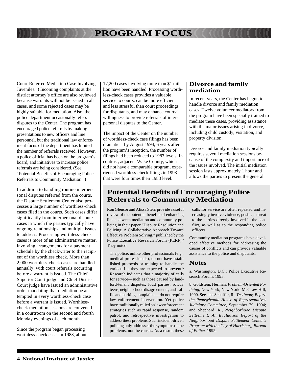Court-Referred Mediation Case Involving Juveniles.") Incoming complaints at the district attorney's office are also reviewed because warrants will not be issued in all cases, and some rejected cases may be highly suitable for mediation. Also, the police department occasionally refers disputes to the Center. The program has encouraged police referrals by making presentations to new officers and line personnel, but the traditional law enforcement focus of the department has limited the number of referrals received. However, a police official has been on the program's board, and initiatives to increase police referrals are being considered. (See "Potential Benefits of Encouraging Police Referrals to Community Mediation.")

In addition to handling routine interpersonal disputes referred from the courts, the Dispute Settlement Center also processes a large number of worthless-check cases filed in the courts. Such cases differ significantly from interpersonal dispute cases in which the parties typically have ongoing relationships and multiple issues to address. Processing worthless-check cases is more of an administrative matter, involving arrangements for a payment schedule by the checkwriter to the recipient of the worthless check. More than 2,000 worthless-check cases are handled annually, with court referrals occurring before a warrant is issued. The Chief Superior Court judge and Chief District Court judge have issued an administrative order mandating that mediation be attempted in every worthless-check case before a warrant is issued. Worthlesscheck mediation sessions are convened in a courtroom on the second and fourth Monday evenings of each month.

Since the program began processing worthless-check cases in 1988, about

17,200 cases involving more than \$1 million have been handled. Processing worthless-check cases provides a valuable service to courts, can be more efficient and less stressful than court proceedings for disputants, and may enhance courts' willingness to provide referrals of interpersonal disputes to the Center.

The impact of the Center on the number of worthless-check case filings has been dramatic—by August 1994, 6 years after the program's inception, the number of filings had been reduced to 1983 levels. In contrast, adjacent Wake County, which did not have a comparable program, experienced worthless-check filings in 1993 that were four times their 1983 level.

#### **Divorce and family mediation**

In recent years, the Center has begun to handle divorce and family mediation cases. Twelve volunteer mediators from the program have been specially trained to mediate these cases, providing assistance with the major issues arising in divorce, including child custody, visitation, and property division.

Divorce and family mediation typically requires several mediation sessions because of the complexity and importance of the issues involved. The initial mediation session lasts approximately 1 hour and allows the parties to present the general

### **Potential Benefits of Encouraging Police Referrals to Community Mediation**

Ron Glensor and Alissa Stern provide a useful review of the potential benefits of enhancing links between mediation and community policing in their paper "Dispute Resolution and Policing: A Collaborative Approach Toward Effective Problem Solving," published by the Police Executive Research Forum (PERF).<sup>a</sup> They noted:

The police, unlike other professionals (e.g., medical professionals), do not have established protocols or training to handle the various ills they are expected to prevent.<sup>b</sup> Research indicates that a majority of calls for service—such as those caused by landlord-tenant disputes, loud parties, rowdy teens, neighborhood disagreements, and traffic and parking complaints—do not require law enforcement intervention. Yet police have traditionally relied on law enforcement strategies such as rapid response, random patrol, and retrospective investigation to address these problems. Such incident-driven policing only addresses the symptoms of the problems, not the causes. As a result, these

calls for service are often repeated and increasingly involve violence, posing a threat to the parties directly involved in the conflict, as well as to the responding police officers.

Community mediation programs have developed effective methods for addressing the causes of conflicts and can provide valuable assistance to the police and disputants.

#### **Notes**

a. Washington, D.C.: Police Executive Research Forum, 1995.

b. Goldstein, Herman, *Problem-Oriented Policing*, New York, New York: McGraw-Hill, 1990. See also Schaffer, R., *Testimony Before the Pennsylvania House of Representatives Judiciary Committee*, September 29, 1994; and Shepherd, R., *Neighborhood Dispute Settlement: An Evaluation Report of the Neighborhood Dispute Settlement Center's Program with the City of Harrisburg Bureau of Police*, 1995.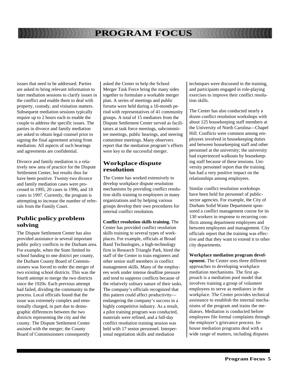issues that need to be addressed. Parties are asked to bring relevant information to later mediation sessions to clarify issues in the conflict and enable them to deal with property, custody, and visitation matters. Subsequent mediation sessions typically require up to 2 hours each to enable the couple to address the specific issues. The parties in divorce and family mediation are asked to obtain legal counsel prior to signing the final agreement arising from mediation. All aspects of such hearings and agreements are confidential.

Divorce and family mediation is a relatively new area of practice for the Dispute Settlement Center, but results thus far have been positive. Twenty-two divorce and family mediation cases were processed in 1995, 20 cases in 1996, and 18 cases in 1997. Currently, the program is attempting to increase the number of referrals from the Family Court.

#### **Public policy problem solving**

The Dispute Settlement Center has also provided assistance in several important public policy conflicts in the Durham area. For example, when the State limited its school funding to one district per county, the Durham County Board of Commissioners was forced to order the merger of two existing school districts. This was the fourth attempt to merge the two districts since the 1920s. Each previous attempt had failed, dividing the community in the process. Local officials found that the issue was extremely complex and emotionally charged, in part due to demographic differences between the two districts representing the city and the county. The Dispute Settlement Center assisted with the merger; the County Board of Commissioners consequently

asked the Center to help the School Merger Task Force bring the many sides together to formulate a workable merger plan. A series of meetings and public forums were held during a 10-month period with representatives of 41 community groups. A total of 15 mediators from the Dispute Settlement Center served as facilitators at task force meetings, subcommittee meetings, public hearings, and steering committee meetings. Many observers report that the mediation program's efforts were key to the successful merger.

#### **Workplace dispute resolution**

The Center has worked extensively to develop workplace dispute resolution mechanisms by providing conflict resolution skills training to employees in many organizations and by helping various groups develop their own procedures for internal conflict resolution.

**Conflict resolution skills training.** The Center has provided conflict resolution skills training to several types of workplaces. For example, officials at Broad Band Technologies, a high-technology firm in Research Triangle Park, hired the staff of the Center to train engineers and other senior staff members in conflict management skills. Many of the employees work under intense deadline pressure and tend to suppress conflicts because of the relatively solitary nature of their tasks. The company's officials recognized that this pattern could affect productivity endangering the company's success in a highly competitive industry. As a result, a pilot training program was conducted, materials were refined, and a full-day conflict resolution training session was held with 17 senior personnel. Interpersonal negotiation skills and mediation

techniques were discussed in the training, and participants engaged in role-playing exercises to improve their conflict resolution skills.

The Center has also conducted nearly a dozen conflict resolution workshops with about 125 housekeeping staff members at the University of North Carolina—Chapel Hill. Conflicts were common among employees involved in housekeeping duties and between housekeeping staff and other personnel at the university; the university had experienced walkouts by housekeeping staff because of these tensions. University personnel report that the training has had a very positive impact on the relationships among employees.

Similar conflict resolution workshops have been held for personnel of publicsector agencies. For example, the City of Durham Solid Waste Department sponsored a conflict management course for its 130 workers in response to recurring conflicts among department employees and between employees and management. City officials report that the training was effective and that they want to extend it to other city departments.

**Workplace mediation program development.** The Center uses three different approaches to developing workplace mediation mechanisms. The first approach is a mediation pool model that involves training a group of volunteer employees to serve as mediators in the workplace. The Center provides technical assistance to establish the internal mechanisms of the program and trains the mediators. Mediation is conducted before employees file formal complaints through the employer's grievance process. Inhouse mediation programs deal with a wide range of matters, including disputes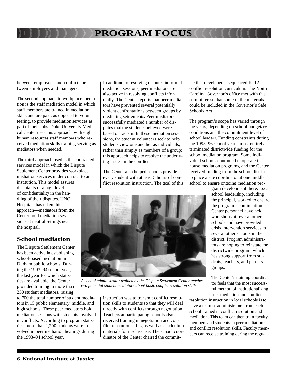between employees and conflicts between employees and managers.

The second approach to workplace mediation is the staff mediation model in which staff members are trained in mediation skills and are paid, as opposed to volunteering, to provide mediation services as part of their jobs. Duke University Medical Center uses this approach, with eight human resources staff members who received mediation skills training serving as mediators when needed.

The third approach used is the contracted services model in which the Dispute Settlement Center provides workplace mediation services under contract to an institution. This model assures disputants of a high level of confidentiality in the handling of their disputes. UNC Hospitals has taken this approach—mediators from the Center hold mediation sessions at neutral settings near the hospital.

#### **School mediation**

The Dispute Settlement Center has been active in establishing school-based mediation in Durham public schools. During the 1993–94 school year, the last year for which statistics are available, the Center provided training to more than 250 student mediators, raising

to 700 the total number of student mediators in 15 public elementary, middle, and high schools. These peer mediators hold mediation sessions with students involved in conflicts. According to program statistics, more than 1,200 students were involved in peer mediation hearings during the 1993–94 school year.

In addition to resolving disputes in formal mediation sessions, peer mediators are also active in resolving conflicts informally. The Center reports that peer mediators have prevented several potentially violent confrontations between groups by mediating settlements. Peer mediators successfully mediated a number of disputes that the students believed were based on racism. In these mediation sessions, the student volunteers seek to help students view one another as individuals, rather than simply as members of a group; this approach helps to resolve the underlying issues in the conflict.

The Center also helped schools provide every student with at least 5 hours of conflict resolution instruction. The goal of this tee that developed a sequenced K–12 conflict resolution curriculum. The North Carolina Governor's office met with this committee so that some of the materials could be included in the Governor's Safe Schools Act.

The program's scope has varied through the years, depending on school budgetary conditions and the commitment level of school leaders. Funding constraints during the 1995–96 school year almost entirely terminated districtwide funding for the school mediation program. Some individual schools continued to operate inhouse mediation programs, and the Center received funding from the school district to place a site coordinator at one middle school to ensure ongoing mediation pro-

> gram development there. Local school leadership, including the principal, worked to ensure the program's continuation. Center personnel have held workshops at several other schools and have provided crisis intervention services to several other schools in the district. Program administrators are hoping to reinstate the districtwide program, which has strong support from students, teachers, and parents groups.

The Center's training coordinator feels that the most successful method of institutionalizing peer mediation and conflict

resolution instruction in local schools is to have a team of administrators from each school trained in conflict resolution and mediation. This team can then train faculty members and students in peer mediation and conflict resolution skills. Faculty members can receive training during the regu-

*A school administrator trained by the Dispute Settlement Center teaches two potential student mediators about basic conflict resolution skills.*

> instruction was to transmit conflict resolution skills to students so that they will deal directly with conflicts through negotiation. Teachers at participating schools also received training in negotiation and conflict resolution skills, as well as curriculum materials for in-class use. The school coordinator of the Center chaired the commit-

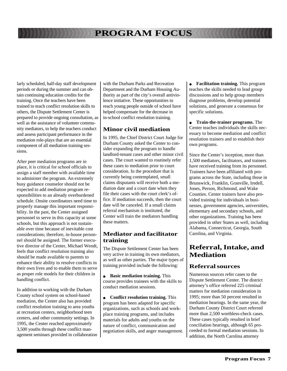larly scheduled, half-day staff development periods or during the summer and can obtain continuing education credits for the training. Once the teachers have been trained to teach conflict resolution skills to others, the Dispute Settlement Center is prepared to provide ongoing consultation, as well as the assistance of volunteer community mediators, to help the teachers conduct and assess participant performance in the mediation role-plays that are an essential component of all mediation training sessions.

After peer mediation programs are in place, it is critical for school officials to assign a staff member with available time to administer the program. An extremely busy guidance counselor should not be expected to add mediation program responsibilities to an already overburdened schedule. Onsite coordinators need time to properly manage this important responsibility. In the past, the Center assigned personnel to serve in this capacity at some schools, but this approach is not sustainable over time because of inevitable cost considerations; therefore, in-house personnel should be assigned. The former executive director of the Center, Michael Wendt, feels that conflict resolution training also should be made available to parents to enhance their ability to resolve conflicts in their own lives and to enable them to serve as proper role models for their children in handling conflict.

In addition to working with the Durham County school system on school-based mediation, the Center also has provided conflict resolution training to area youths at recreation centers, neighborhood teen centers, and other community settings. In 1995, the Center reached approximately 3,500 youths through these conflict management seminars provided in collaboration

with the Durham Parks and Recreation Department and the Durham Housing Authority as part of the city's overall antiviolence initiative. These opportunities to reach young people outside of school have helped compensate for the decrease in in-school conflict resolution training.

#### **Minor civil mediation**

In 1995, the Chief District Court Judge for Durham County asked the Center to consider expanding the program to handle landlord-tenant cases and other minor civil cases. The court wanted to routinely refer these cases to mediation prior to court consideration. In the procedure that is currently being contemplated, small claims disputants will receive both a mediation date and a court date when they file their cases with the court clerk's office. If mediation succeeds, then the court date will be canceled. If a small claims referral mechanism is instituted, the Center will train the mediators handling these matters.

#### **Mediator and facilitator training**

The Dispute Settlement Center has been very active in training its own mediators, as well as other parties. The major types of training provided include the following:

● **Basic mediation training.** This course provides trainees with the skills to conduct mediation sessions.

● **Conflict resolution training.** This program has been adapted for specific organizations, such as schools and workplace training programs, and includes materials for adults and youths on the nature of conflict, communication and negotiation skills, and anger management. ● **Facilitation training.** This program teaches the skills needed to lead group discussions and to help group members diagnose problems, develop potential solutions, and generate a consensus for specific solutions.

● **Train-the-trainer programs.** The Center teaches individuals the skills necessary to become mediation and conflict resolution trainers and to establish their own programs.

Since the Center's inception, more than 1,500 mediators, facilitators, and trainers have received training from its personnel. Trainees have been affiliated with programs across the State, including those in Brunswick, Franklin, Granville, Iredell, Jones, Person, Richmond, and Wake Counties. Center trainers have also provided training for individuals in businesses, government agencies, universities, elementary and secondary schools, and other organizations. Training has been provided in other States as well, including Alabama, Connecticut, Georgia, South Carolina, and Virginia.

### **Referral, Intake, and Mediation**

#### **Referral sources**

Numerous sources refer cases to the Dispute Settlement Center. The district attorney's office referred 225 criminal matters for mediation consideration in 1995; more than 50 percent resulted in mediation hearings. In the same year, the Durham County District Court referred more than 2,500 worthless-check cases. These cases typically resulted in brief conciliation hearings, although 65 proceeded to formal mediation sessions. In addition, the North Carolina attorney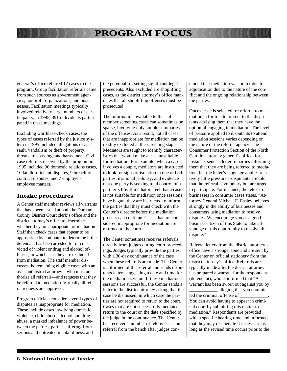general's office referred 12 cases to the program. Group facilitation referrals came from such sources as government agencies, nonprofit organizations, and businesses. Facilitation meetings typically involved relatively large numbers of participants; in 1995, 391 individuals participated in these meetings.

Excluding worthless-check cases, the types of cases referred by the justice system in 1995 included allegations of assault, vandalism or theft of property, threats, trespassing, and harassment. Civil case referrals received by the program in 1995 included 36 domestic relations cases, 10 landlord-tenant disputes, 9 breach-ofcontract disputes, and 7 employeremployee matters.

#### **Intake procedures**

A Center staff member reviews all warrants that have been issued at both the Durham County District Court clerk's office and the district attorney's office to determine whether they are appropriate for mediation. Staff then check cases that appear to be appropriate by computer to determine if the defendant has been arrested for or convicted of violent or drug and alcohol offenses, in which case they are excluded from mediation. The staff member discusses the remaining eligible cases with an assistant district attorney—who must authorize all referrals—and requests that they be referred to mediation. Virtually all referral requests are approved.

Program officials consider several types of disputes as inappropriate for mediation. These include cases involving domestic violence, child abuse, alcohol and drug abuse, a marked imbalance of power between the parties, parties suffering from serious and untreated mental illness, and

the potential for setting significant legal precedents. Also excluded are shoplifting cases, as the district attorney's office mandates that all shoplifting offenses must be prosecuted.

The information available to the staff member screening cases can sometimes be sparse, involving only simple summaries of the offenses. As a result, not all cases that are inappropriate for mediation can be readily excluded at the screening stage. Mediators are taught to identify characteristics that would make a case unsuitable for mediation. For example, when a case involves a couple, mediators are instructed to look for signs of isolation in one or both parties, irrational jealousy, and evidence that one party is seeking total control of a partner's life. If mediators feel that a case is not suitable for mediation once sessions have begun, they are instructed to inform the parties that they must check with the Center's director before the mediation process can continue. Cases that are considered inappropriate for mediation are returned to the court.

The Center sometimes receives referrals directly from judges during court proceedings. Judges typically provide the parties with a 30-day continuance of the case when these referrals are made. The Center is informed of the referral and sends disputants letters suggesting a date and time for the mediation session. If these mediation sessions are successful, the Center sends a letter to the district attorney asking that the case be dismissed, in which case the parties are not required to return to the court. Cases that are not successfully mediated return to the court on the date specified by the judge in the continuance. The Center has received a number of felony cases on referral from the bench after judges concluded that mediation was preferable to adjudication due to the nature of the conflict and the ongoing relationship between the parties.

Once a case is selected for referral to mediation, a form letter is sent to the disputants advising them that they have the option of engaging in mediation. The level of pressure applied to disputants to attend mediation sessions varies depending on the nature of the referral agency. The Consumer Protection Section of the North Carolina attorney general's office, for instance, sends a letter to parties informing them that they are being referred to mediation, but the letter's language applies relatively little pressure—disputants are told that the referral is voluntary but are urged to participate. For instance, the letter to businesses in consumer cases states, "Attorney General Michael F. Easley believes strongly in the ability of businesses and consumers using mediation to resolve disputes. We encourage you as a good business citizen of this State to take advantage of this opportunity to resolve this dispute."

Referral letters from the district attorney's office have a stronger tone and are sent by the Center on official stationery from the district attorney's office. Referrals are typically made after the district attorney has prepared a warrant for the respondent (defendant), who is informed that "A warrant has been sworn out against you by \_\_\_\_\_\_\_\_\_\_\_\_ alleging that you commit-

ted the criminal offense of You can avoid having to appear in criminal court by submitting this matter to mediation." Respondents are provided with a specific hearing time and informed that they may reschedule if necessary, as long as the revised time occurs prior to the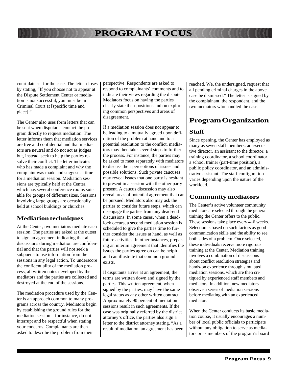court date set for the case. The letter closes by stating, "If you choose not to appear at the Dispute Settlement Center or mediation is not successful, you must be in Criminal Court at [specific time and place]."

The Center also uses form letters that can be sent when disputants contact the program directly to request mediation. The letter informs them that mediation services are free and confidential and that mediators are neutral and do not act as judges but, instead, seek to help the parties resolve their conflict. The letter indicates who has made a complaint and why the complaint was made and suggests a time for a mediation session. Mediation sessions are typically held at the Center, which has several conference rooms suitable for groups of different sizes. Sessions involving large groups are occasionally held at school buildings or churches.

#### **Mediation techniques**

At the Center, two mediators mediate each session. The parties are asked at the outset to sign an agreement indicating that all discussions during mediation are confidential and that the parties will not seek a subpoena to use information from the sessions in any legal action. To underscore the confidentiality of the mediation process, all written notes developed by the mediators and the parties are collected and destroyed at the end of the sessions.

The mediation procedure used by the Center is an approach common to many programs across the country. Mediators begin by establishing the ground rules for the mediation session—for instance, do not interrupt and be respectful when stating your concerns. Complainants are then asked to describe the problem from their

perspective. Respondents are asked to respond to complainants' comments and to indicate their views regarding the dispute. Mediators focus on having the parties clearly state their positions and on exploring common perspectives and areas of disagreement.

If a mediation session does not appear to be leading to a mutually agreed upon definition of the problem at hand and to a potential resolution to the conflict, mediators may then take several steps to further the process. For instance, the parties may be asked to meet separately with mediators to discuss their perceptions of issues and possible solutions. Such private caucuses may reveal issues that one party is hesitant to present in a session with the other party present. A caucus discussion may also reveal areas of potential agreement that can be pursued. Mediators also may ask the parties to consider future steps, which can disengage the parties from any dead-end discussions. In some cases, when a deadlock occurs, a second mediation session is scheduled to give the parties time to further consider the issues at hand, as well as future activities. In other instances, preparing an interim agreement that identifies the issues the parties agree on can be helpful and can illustrate that common ground exists.

If disputants arrive at an agreement, the terms are written down and signed by the parties. This written agreement, when signed by the parties, may have the same legal status as any other written contract. Approximately 90 percent of mediation sessions result in such agreements. If the case was originally referred by the district attorney's office, the parties also sign a letter to the district attorney stating, "As a result of mediation, an agreement has been reached. We, the undersigned, request that all pending criminal charges in the above case be dismissed." The letter is signed by the complainant, the respondent, and the two mediators who handled the case.

# **Program Organization**

#### **Staff**

Since opening, the Center has employed as many as seven staff members: an executive director, an assistant to the director, a training coordinator, a school coordinator, a school trainer (part-time position), a public policy coordinator, and an administrative assistant. The staff configuration varies depending upon the nature of the workload.

#### **Community mediators**

The Center's active volunteer community mediators are selected through the general training the Center offers to the public. These sessions take place every 4–6 weeks. Selection is based on such factors as good communication skills and the ability to see both sides of a problem. Once selected, these individuals receive more rigorous training at the Center. Mediation training involves a combination of discussions about conflict resolution strategies and hands-on experience through simulated mediation sessions, which are then critiqued by experienced staff members and mediators. In addition, new mediators observe a series of mediation sessions before mediating with an experienced mediator.

When the Center conducts its basic mediation course, it usually encourages a number of local public officials to participate without any obligation to serve as mediators or as members of the program's board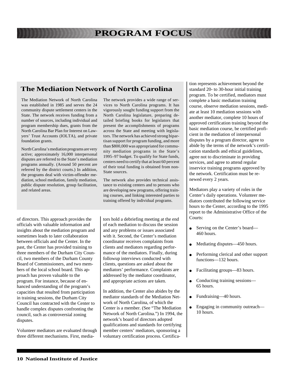### **The Mediation Network of North Carolina**

The Mediation Network of North Carolina was established in 1985 and serves the 24 community dispute settlement centers in the State. The network receives funding from a number of sources, including individual and program membership dues, grants from the North Carolina Bar Plan for Interest on Lawyers' Trust Accounts (IOLTA), and private foundation grants.

North Carolina's mediation programs are very active; approximately 16,000 interpersonal disputes are referred to the State's mediation programs annually. (Around 50 percent are referred by the district courts.) In addition, the programs deal with victim-offender mediation, school mediation, family mediation, public dispute resolution, group facilitation, and related areas.

of directors. This approach provides the officials with valuable information and insights about the mediation program and sometimes leads to later collaboration between officials and the Center. In the past, the Center has provided training to three members of the Durham City Council, two members of the Durham County Board of Commissioners, and two members of the local school board. This approach has proven valuable to the program. For instance, because of enhanced understanding of the program's capacities that resulted from participation in training sessions, the Durham City Council has contracted with the Center to handle complex disputes confronting the council, such as controversial zoning disputes.

Volunteer mediators are evaluated through three different mechanisms. First, mediaThe network provides a wide range of services to North Carolina programs. It has vigorously sought funding support from the North Carolina legislature, preparing detailed briefing books for legislators that present the accomplishments of programs across the State and meeting with legislators. The network has achieved strong bipartisan support for program funding, and more than \$800,000 was appropriated for community mediation programs in the State's 1995–97 budget. To qualify for State funds, centers need to certify that at least 60 percent of their total funding is obtained from non-State sources.

The network also provides technical assistance to existing centers and to persons who are developing new programs, offering training courses, and linking interested parties to training offered by individual programs.

tors hold a debriefing meeting at the end of each mediation to discuss the session and any problems or issues associated with it. Second, the Center's mediation coordinator receives complaints from clients and mediators regarding performance of the mediators. Finally, during followup interviews conducted with clients, questions are asked about the mediators' performance. Complaints are addressed by the mediator coordinator, and appropriate actions are taken.

In addition, the Center also abides by the mediator standards of the Mediation Network of North Carolina, of which the Center is a member. (See "The Mediation Network of North Carolina.") In 1994, the network's board of directors adopted qualifications and standards for certifying member centers' mediators, sponsoring a voluntary certification process. Certification represents achievement beyond the standard 20- to 30-hour initial training program. To be certified, mediators must complete a basic mediation training course, observe mediation sessions, mediate at least 10 mediation sessions with another mediator, complete 10 hours of approved certification training beyond the basic mediation course, be certified proficient in the mediation of interpersonal disputes by a program director, agree to abide by the terms of the network's certification standards and ethical guidelines, agree not to discriminate in providing services, and agree to attend regular inservice training programs approved by the network. Certification must be renewed every 2 years.

Mediators play a variety of roles in the Center's daily operations. Volunteer mediators contributed the following service hours to the Center, according to the 1995 report to the Administrative Office of the Courts:

- Serving on the Center's board— 460 hours.
- Mediating disputes—450 hours.
- Performing clerical and other support functions—132 hours.
- Facilitating groups—83 hours.
- Conducting training sessions— 65 hours.
- Fundraising—40 hours.
- Engaging in community outreach— 10 hours.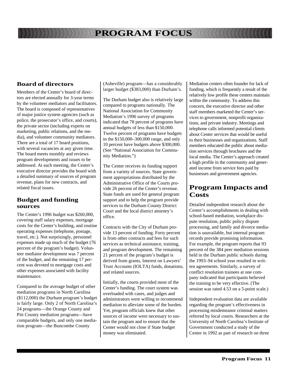#### **Board of directors**

Members of the Center's board of directors are elected annually for 3-year terms by the volunteer mediators and facilitators. The board is composed of representatives of major justice system agencies (such as police, the prosecutor's office, and courts), the private sector (including experts on marketing, public relations, and the media), and volunteer community mediators. There are a total of 17 board positions, with several vacancies at any given time. The board meets monthly and reviews program developments and issues to be addressed. At each meeting, the Center's executive director provides the board with a detailed summary of sources of program revenue, plans for new contracts, and related fiscal issues.

#### **Budget and funding sources**

The Center's 1996 budget was \$260,000, covering staff salary expenses, mortgage costs for the Center's building, and routine operating expenses (telephone, postage, travel, etc.). Not surprisingly, personnel expenses made up much of the budget (76 percent of the program's budget). Volunteer mediator development was 7 percent of the budget, and the remaining 17 percent was devoted to mortgage costs and other expenses associated with facility maintenance.

Compared to the average budget of other mediation programs in North Carolina (\$112,000) the Durham program's budget is fairly large. Only 2 of North Carolina's 24 programs—the Orange County and Pitt County mediation programs—have comparable budgets, and only one mediation program—the Buncombe County

(Asheville) program—has a considerably larger budget (\$383,000) than Durham's.

The Durham budget also is relatively large compared to programs nationally. The National Association for Community Mediation's 1996 survey of programs indicated that 78 percent of programs have annual budgets of less than \$150,000. Twelve percent of programs have budgets in the \$150,000–300,000 range, and only 10 percent have budgets above \$300,000. (See "National Association for Community Mediation.")

The Center receives its funding support from a variety of sources. State government appropriations distributed by the Administrative Office of the Courts provide 26 percent of the Center's revenue. State funds are used for general program support and to help the program provide services to the Durham County District Court and the local district attorney's office.

Contracts with the City of Durham provide 13 percent of funding. Forty percent is from other contracts and fees for such services as technical assistance, training, and program development. The remaining 21 percent of the program's budget is derived from grants, Interest on Lawyers' Trust Accounts (IOLTA) funds, donations, and related sources.

Initially, the courts provided most of the Center's funding. The court system was overloaded with cases, and judges and administrators were willing to recommend mediation to alleviate some of the burden. Yet, program officials knew that other sources of income were necessary to sustain the program and to ensure that the Center would not close if State budget money was eliminated.

Mediation centers often founder for lack of funding, which is frequently a result of the relatively low profile these centers maintain within the community. To address this concern, the executive director and other staff members marketed the Center's services to government, nonprofit organizations, and private industry. Meetings and telephone calls informed potential clients about Center services that would be useful to their businesses and organizations. Staff members educated the public about mediation services through brochures and the local media. The Center's approach created a high profile in the community and generated income from service fees paid by businesses and government agencies.

### **Program Impacts and Costs**

Detailed independent research about the Center's accomplishments in dealing with school-based mediation, workplace dispute resolution, public policy dispute processing, and family and divorce mediation is unavailable, but internal program records provide promising information. For example, the program reports that 93 percent of the 384 peer mediation sessions held in the Durham public schools during the 1993–94 school year resulted in written agreements. Similarly, a survey of conflict resolution trainees at one company indicated that participants believed the training to be very effective. (The session was rated 4.53 on a 5-point scale.)

Independent evaluation data are available regarding the program's effectiveness in processing misdemeanor criminal matters referred by local courts. Researchers at the University of North Carolina's Institute of Government conducted a study of the Center in 1992 as part of research on three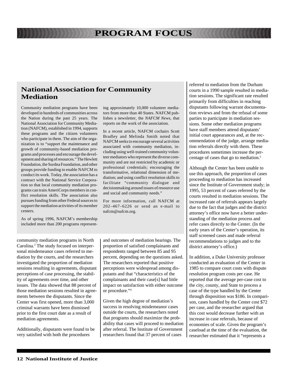### **National Association for Community Mediation**

Community mediation programs have been developed in hundreds of communities across the Nation during the past 25 years. The National Association for Community Mediation (NAFCM), established in 1994, supports these programs and the citizen volunteers who participate in them. The aim of the organization is to "support the maintenance and growth of community-based mediation programs and processes and encourage the development and sharing of resources." The Hewlett Foundation, the Surdna Foundation, and other groups provide funding to enable NAFCM to conduct its work. Today, the association has a contract with the National Service Corporation so that local community mediation programs can train AmeriCorps members in conflict resolution skills. The association also pursues funding from other Federal sources to support the mediation activities of its member centers.

As of spring 1996, NAFCM's membership included more than 200 programs representing approximately 10,000 volunteer mediators from more than 40 States. NAFCM publishes a newsletter, the *NAFCM News*, that reports on the work of the association.

In a recent article, NAFCM cochairs Scott Bradley and Melinda Smith noted that NAFCM seeks to encourage several activities associated with community mediation, including using well-trained community volunteer mediators who represent the diverse community and are not restricted by academic or professional credentials; encouraging the transformative, relational dimension of mediation; and using conflict resolution skills to facilitate "community dialogue and decisionmaking around issues of resource use and social and community needs."

For more information, call NAFCM at 202–467–6226 or send an e-mail to nafcm@nafcm.org.

community mediation programs in North Carolina.3 The study focused on interpersonal misdemeanor cases referred to mediation by the courts, and the researchers investigated the proportion of mediation sessions resulting in agreements, disputant perceptions of case processing, the stability of agreements over time, and other issues. The data showed that 88 percent of those mediation sessions resulted in agreements between the disputants. Since the Center was first opened, more than 3,000 criminal warrants have been dismissed prior to the first court date as a result of mediation agreements.

Additionally, disputants were found to be very satisfied with both the procedures

and outcomes of mediation hearings. The proportion of satisfied complainants and respondents ranged between 85 and 95 percent, depending on the questions asked. The researchers reported that positive perceptions were widespread among disputants and that "characteristics of the complainants and their case[s] had little impact on satisfaction with either outcome or procedure."4

Given the high degree of mediation's success in resolving misdemeanor cases outside the courts, the researchers noted that programs should maximize the probability that cases will proceed to mediation after referral. The Institute of Government researchers found that 37 percent of cases

referred to mediation from the Durham courts in a 1990 sample resulted in mediation sessions. The significant rate resulted primarily from difficulties in reaching disputants following warrant documentation reviews and from the refusal of some parties to participate in mediation sessions. Some other mediation programs have staff members attend disputants' initial court appearances and, at the recommendation of the judge, arrange mediation referrals directly with them. These procedures sometimes increase the percentage of cases that go to mediation.5

Although the Center has been unable to use this approach, the proportion of cases proceeding to mediation has increased since the Institute of Government study; in 1995, 53 percent of cases referred by the courts resulted in mediation sessions. The increased rate of referrals appears largely due to the fact that judges and the district attorney's office now have a better understanding of the mediation process and refer cases directly to the Center. (In the early years of the Center's operation, its staff screened cases and made referral recommendations to judges and to the district attorney's office.)

In addition, a Duke University professor conducted an evaluation of the Center in 1985 to compare court costs with dispute resolution program costs per case. He reported that the average per-case cost to the city, county, and State to process a case of the type handled by the Center through disposition was \$186. In comparison, cases handled by the Center cost \$72 per case, and the researcher argued that this cost would decrease further with an increase in case referrals, because of economies of scale. Given the program's caseload at the time of the evaluation, the researcher estimated that it "represents a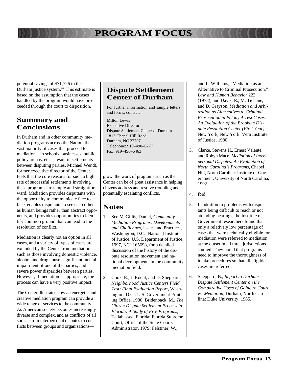potential savings of \$71,726 to the Durham justice system."6 This estimate is based on the assumption that the cases handled by the program would have proceeded through the court to disposition.

### **Summary and Conclusions**

In Durham and in other community mediation programs across the Nation, the vast majority of cases that proceed to mediation—in schools, businesses, public policy arenas, etc.—result in settlements between disputing parties. Michael Wendt, former executive director of the Center, feels that the core reasons for such a high rate of successful settlements involving these programs are simple and straightforward. Mediation provides disputants with the opportunity to communicate face to face, enables disputants to see each other as human beings rather than abstract opponents, and provides opportunities to identify common ground that can lead to the resolution of conflict.

Mediation is clearly not an option in all cases, and a variety of types of cases are excluded by the Center from mediation, such as those involving domestic violence, alcohol and drug abuse, significant mental impairment of one of the parties, and severe power disparities between parties. However, if mediation is appropriate, the process can have a very positive impact.

The Center illustrates how an energetic and creative mediation program can provide a wide range of services to the community. As American society becomes increasingly diverse and complex, and as conflicts of all sorts—from interpersonal disputes to conflicts between groups and organizations—

### **Dispute Settlement Center of Durham**

For further information and sample letters and forms, contact:

Milton Lewis Executive Director Dispute Settlement Center of Durham 1813 Chapel Hill Road Durham, NC 27707 Telephone: 919–490–6777 Fax: 919–490–6463

grow, the work of programs such as the Center can be of great assistance in helping citizens address and resolve troubling and potentially escalating conflicts.

### **Notes**

- 1. See McGillis, Daniel, *Community Mediation Programs: Developments and Challenges*, Issues and Practices, Washington, D.C.: National Institute of Justice, U.S. Department of Justice, 1997, NCJ 165698, for a detailed discussion of the history of the dispute resolution movement and national developments in the community mediation field.
- 2. Cook, R., J. Roehl, and D. Sheppard, *Neighborhood Justice Centers Field Test: Final Evaluation Report*, Washington, D.C.: U.S. Government Printing Office, 1980; Bridenback, M., *The Citizen Dispute Settlement Process in Florida: A Study of Five Programs*, Tallahassee, Florida: Florida Supreme Court, Office of the State Courts Administrator, 1979; Felstiner, W.,

and L. Williams, "Mediation as an Alternative to Criminal Prosecution," *Law and Human Behavior* 223 (1978); and Davis, R., M. Tichane, and D. Grayson, *Mediation and Arbitration as Alternatives to Criminal Prosecution in Felony Arrest Cases: An Evaluation of the Brooklyn Dispute Resolution Center (First Year)*, New York, New York: Vera Institute of Justice, 1980.

- 3. Clarke, Stevens H., Ernest Valente, and Robyn Mace, *Mediation of Interpersonal Disputes: An Evaluation of North Carolina's Programs*, Chapel Hill, North Carolina: Institute of Government, University of North Carolina, 1992.
- 4. Ibid.
- 5. In addition to problems with disputants being difficult to reach or not attending hearings, the Institute of Government researchers found that only a relatively low percentage of cases that were technically eligible for mediation were referred to mediation at the outset in all three jurisdictions studied. They noted that programs need to improve the thoroughness of intake procedures so that all eligible cases are referred.
- 6. Sheppard, B., *Report to Durham Dispute Settlement Center on the Comparative Costs of Going to Court vs. Mediation*, Durham, North Carolina: Duke University, 1985.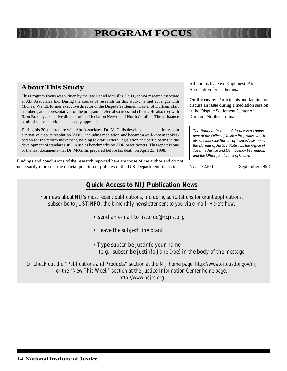### **About This Study**

This Program Focus was written by the late Daniel McGillis, Ph.D., senior research associate at Abt Associates Inc. During the course of research for this study, he met at length with Michael Wendt, former executive director of the Dispute Settlement Center of Durham, staff members, and representatives of the program's referral sources and clients. He also met with Scott Bradley, executive director of the Mediation Network of North Carolina. The assistance of all of these individuals is deeply appreciated.

During his 20-year tenure with Abt Associates, Dr. McGillis developed a special interest in alternative dispute resolution (ADR), including mediation, and became a well-known spokesperson for the reform movement, helping to draft Federal legislation and participating in the development of standards still in use as benchmarks by ADR practitioners. This report is one of the last documents that Dr. McGillis prepared before his death on April 23, 1998.

Findings and conclusions of the research reported here are those of the author and do not necessarily represent the official position or policies of the U.S. Department of Justice.

All photos by Dave Kaphingst, Aid Association for Lutherans.

**On the cover:** Participants and facilitators discuss an issue during a mediation session at the Dispute Settlement Center of Durham, North Carolina.

*The National Institute of Justice is a component of the Office of Justice Programs, which also includes the Bureau of Justice Assistance, the Bureau of Justice Statistics, the Office of Juvenile Justice and Delinquency Prevention, and the Office for Victims of Crime.*

NCJ 172203 September 1998

### **Quick Access to NIJ Publication News**

For news about NIJ's most recent publications, including solicitations for grant applications, subscribe to JUSTINFO, the bimonthly newsletter sent to you via e-mail. Here's how:

- Send an e-mail to listproc@ncjrs.org
- Leave the subject line blank
- Type subscribe justinfo your name (e.g., subscribe justinfo Jane Doe) in the body of the message

Or check out the "Publications and Products" section at the NIJ home page: http://www.ojp.usdoj.gov/nij or the "New This Week" section at the Justice Information Center home page: http://www.ncjrs.org